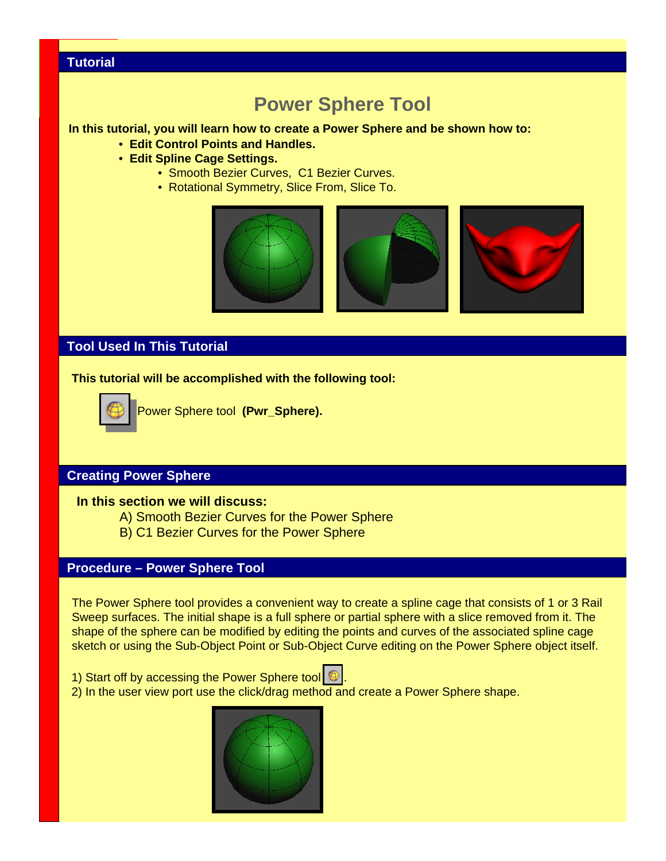## **Tutorial**

# **Power Sphere Tool**

#### **In this tutorial, you will learn how to create a Power Sphere and be shown how to:**

- **Edit Control Points and Handles.**
- **Edit Spline Cage Settings.**
	- Smooth Bezier Curves, C1 Bezier Curves.
	- Rotational Symmetry, Slice From, Slice To.



## **Tool Used In This Tutorial**

#### **This tutorial will be accomplished with the following tool:**



Power Sphere tool **(Pwr\_Sphere).**

## **Creating Power Sphere**

#### **In this section we will discuss:**

- A) Smooth Bezier Curves for the Power Sphere
- B) C1 Bezier Curves for the Power Sphere

## **Procedure – Power Sphere Tool**

The Power Sphere tool provides a convenient way to create a spline cage that consists of 1 or 3 Rail Sweep surfaces. The initial shape is a full sphere or partial sphere with a slice removed from it. The shape of the sphere can be modified by editing the points and curves of the associated spline cage sketch or using the Sub-Object Point or Sub-Object Curve editing on the Power Sphere object itself.

1) Start off by accessing the Power Sphere tool  $\oplus$ .



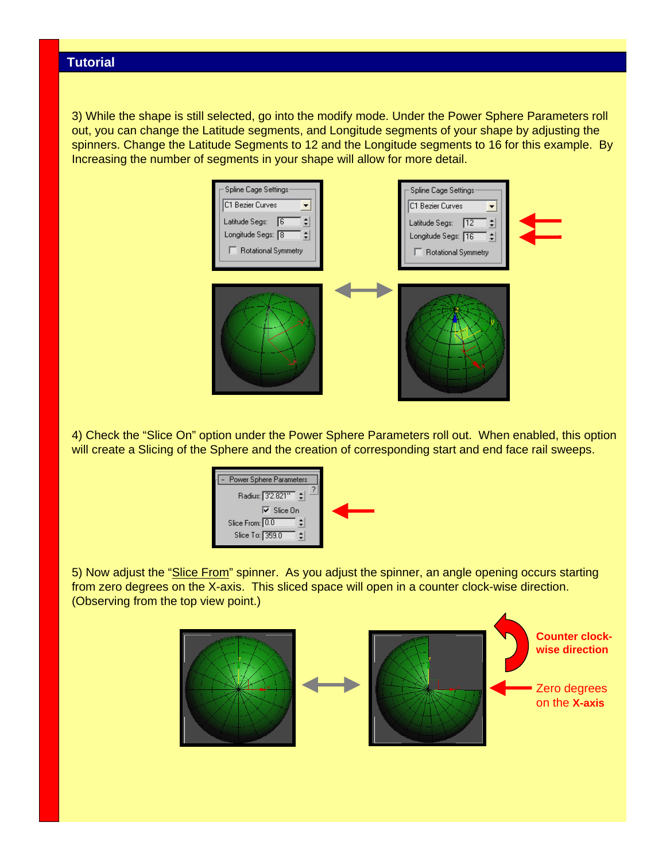3) While the shape is still selected, go into the modify mode. Under the Power Sphere Parameters roll out, you can change the Latitude segments, and Longitude segments of your shape by adjusting the spinners. Change the Latitude Segments to 12 and the Longitude segments to 16 for this example. By Increasing the number of segments in your shape will allow for more detail.



4) Check the "Slice On" option under the Power Sphere Parameters roll out. When enabled, this option will create a Slicing of the Sphere and the creation of corresponding start and end face rail sweeps.



5) Now adjust the "Slice From" spinner. As you adjust the spinner, an angle opening occurs starting from zero degrees on the X-axis. This sliced space will open in a counter clock-wise direction. (Observing from the top view point.)

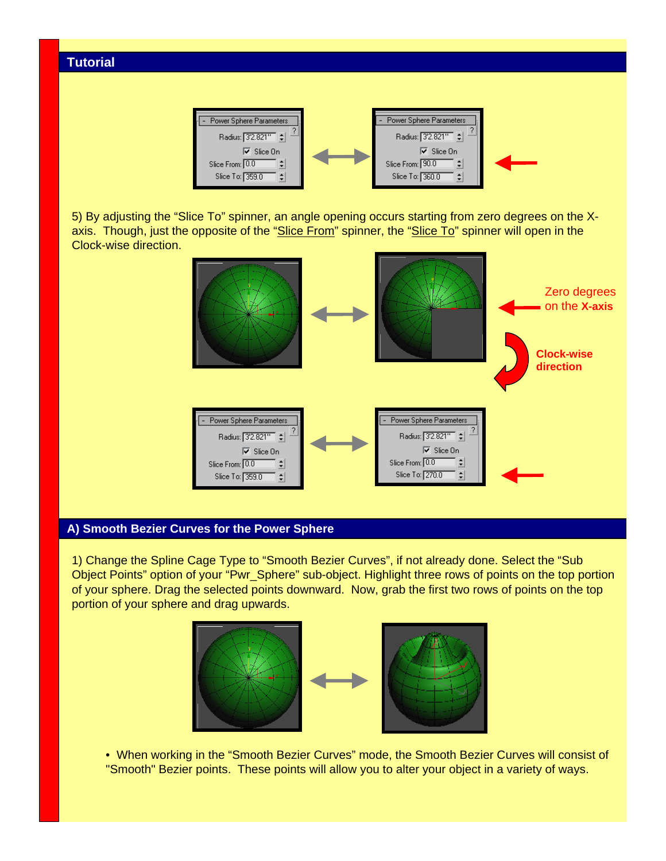

5) By adjusting the "Slice To" spinner, an angle opening occurs starting from zero degrees on the Xaxis. Though, just the opposite of the "Slice From" spinner, the "Slice To" spinner will open in the Clock-wise direction.



## **A) Smooth Bezier Curves for the Power Sphere**

1) Change the Spline Cage Type to "Smooth Bezier Curves", if not already done. Select the "Sub Object Points" option of your "Pwr\_Sphere" sub-object. Highlight three rows of points on the top portion of your sphere. Drag the selected points downward. Now, grab the first two rows of points on the top portion of your sphere and drag upwards.



• When working in the "Smooth Bezier Curves" mode, the Smooth Bezier Curves will consist of "Smooth" Bezier points. These points will allow you to alter your object in a variety of ways.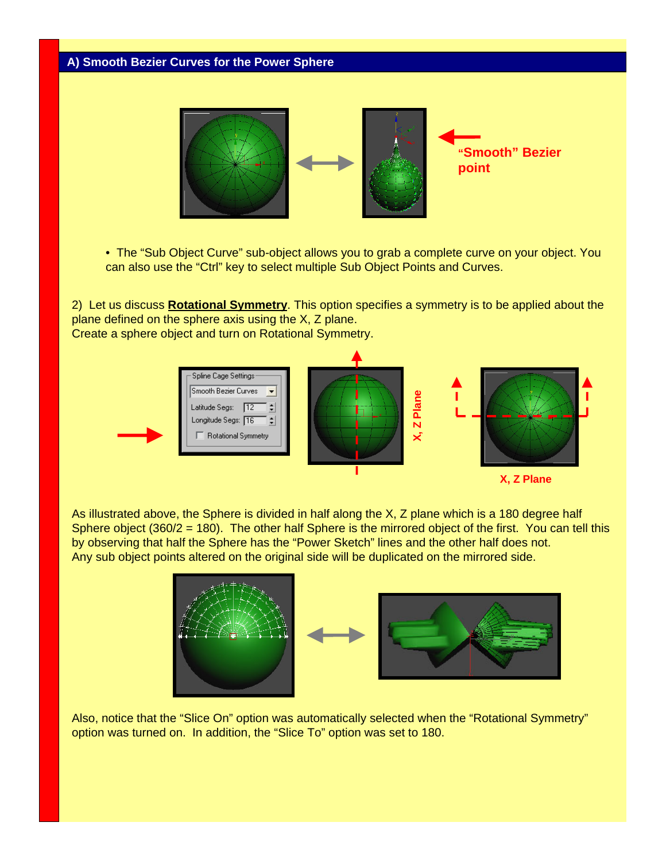## **A) Smooth Bezier Curves for the Power Sphere**



• The "Sub Object Curve" sub-object allows you to grab a complete curve on your object. You can also use the "Ctrl" key to select multiple Sub Object Points and Curves.

2) Let us discuss **Rotational Symmetry**. This option specifies a symmetry is to be applied about the plane defined on the sphere axis using the X, Z plane. Create a sphere object and turn on Rotational Symmetry.



As illustrated above, the Sphere is divided in half along the X, Z plane which is a 180 degree half Sphere object (360/2 = 180). The other half Sphere is the mirrored object of the first. You can tell this by observing that half the Sphere has the "Power Sketch" lines and the other half does not. Any sub object points altered on the original side will be duplicated on the mirrored side.



Also, notice that the "Slice On" option was automatically selected when the "Rotational Symmetry" option was turned on. In addition, the "Slice To" option was set to 180.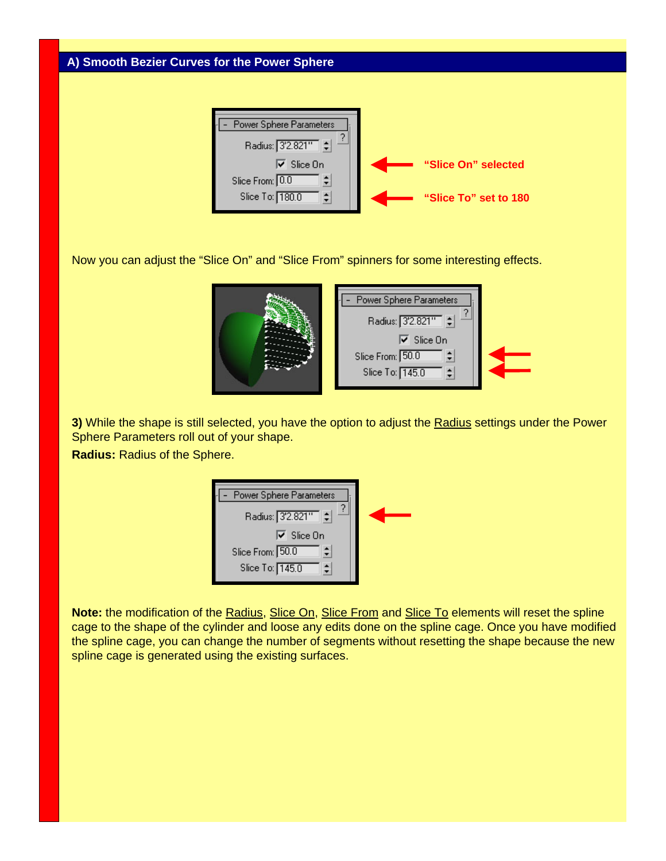## **A) Smooth Bezier Curves for the Power Sphere**



Now you can adjust the "Slice On" and "Slice From" spinners for some interesting effects.



**3)** While the shape is still selected, you have the option to adjust the Radius settings under the Power Sphere Parameters roll out of your shape.

**Radius:** Radius of the Sphere.

| Power Sphere Parameters |  |
|-------------------------|--|
| Radius: 3'2.821"        |  |
| $\nabla$ Slice On       |  |
| Slice From: 50.0        |  |
| Slice To: 145.0         |  |

**Note:** the modification of the Radius, Slice On, Slice From and Slice To elements will reset the spline cage to the shape of the cylinder and loose any edits done on the spline cage. Once you have modified the spline cage, you can change the number of segments without resetting the shape because the new spline cage is generated using the existing surfaces.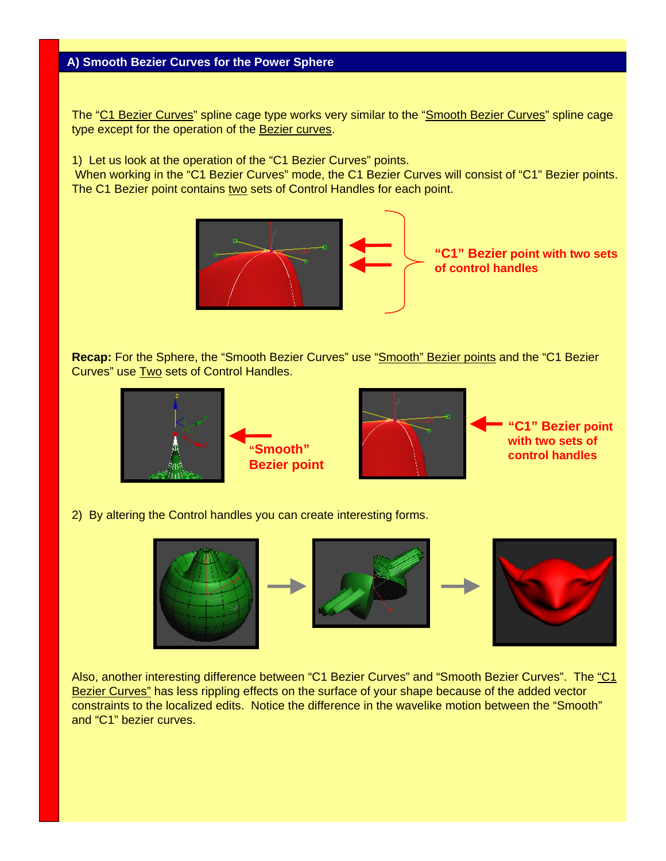The "C1 Bezier Curves" spline cage type works very similar to the "Smooth Bezier Curves" spline cage type except for the operation of the Bezier curves.

1) Let us look at the operation of the "C1 Bezier Curves" points.

When working in the "C1 Bezier Curves" mode, the C1 Bezier Curves will consist of "C1" Bezier points. The C1 Bezier point contains two sets of Control Handles for each point.



**Recap:** For the Sphere, the "Smooth Bezier Curves" use "Smooth" Bezier points and the "C1 Bezier Curves" use Two sets of Control Handles.



2) By altering the Control handles you can create interesting forms.



Also, another interesting difference between "C1 Bezier Curves" and "Smooth Bezier Curves". The "C1 Bezier Curves" has less rippling effects on the surface of your shape because of the added vector constraints to the localized edits. Notice the difference in the wavelike motion between the "Smooth" and "C1" bezier curves.